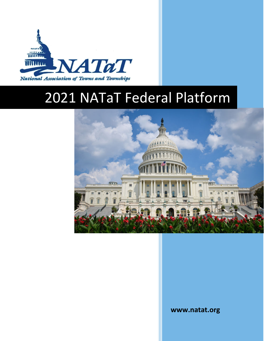

# 2021 NATaT Federal Platform



**www.natat.org**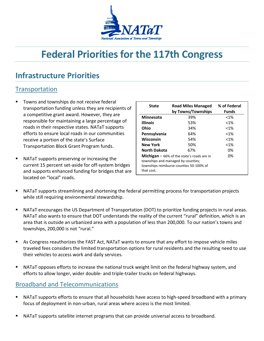

## **Federal Priorities for the 117th Congress**

### **Infrastructure Priorities**

#### **Transportation**

- Towns and townships do not receive federal transportation funding unless they are recipients of a competitive grant award. However, they are responsible for maintaining a large percentage of roads in their respective states. NATaT supports efforts to ensure local roads in our communities receive a portion of the state's Surface Transportation Block Grant Program funds.
- NATaT supports preserving or increasing the current 15 percent set-aside for off-system bridges and supports enhanced funding for bridges that are located on "local" roads.

| <b>State</b>                                                                                                                                             | <b>Road Miles Managed</b><br>by Towns/Townships | % of Federal<br><b>Funds</b> |
|----------------------------------------------------------------------------------------------------------------------------------------------------------|-------------------------------------------------|------------------------------|
| <b>Minnesota</b>                                                                                                                                         | 39%                                             | $< 1\%$                      |
| <b>Illinois</b>                                                                                                                                          | 53%                                             | $< 1\%$                      |
| Ohio                                                                                                                                                     | 34%                                             | $< 1\%$                      |
| Pennsylvania                                                                                                                                             | 64%                                             | $< 1\%$                      |
| Wisconsin                                                                                                                                                | 54%                                             | $< 1\%$                      |
| <b>New York</b>                                                                                                                                          | 50%                                             | $< 1\%$                      |
| <b>North Dakota</b>                                                                                                                                      | 67%                                             | 0%                           |
| 0%<br><b>Michigan</b> $-$ 66% of the state's roads are in<br>townships and managed by counties;<br>townships reimburse counties 50-100% of<br>that cost. |                                                 |                              |

- NATaT supports streamlining and shortening the federal permitting process for transportation projects while still requiring environmental stewardship.
- NATaT encourages the US Department of Transportation (DOT) to prioritize funding projects in rural areas. NATaT also wants to ensure that DOT understands the reality of the current "rural" definition, which is an area that is outside an urbanized area with a population of less than 200,000. To our nation's towns and townships, 200,000 is not "rural."
- As Congress reauthorizes the FAST Act, NATaT wants to ensure that any effort to impose vehicle miles traveled fees considers the limited transportation options for rural residents and the resulting need to use their vehicles to access work and daily services.
- NATaT opposes efforts to increase the national truck weight limit on the federal highway system, and efforts to allow longer, wider double- and triple-trailer trucks on federal highways.

#### Broadband and Telecommunications

- NATaT supports efforts to ensure that all households have access to high-speed broadband with a primary focus of deployment in non-urban, rural areas where access is the most limited.
- NATaT supports satellite internet programs that can provide universal access to broadband.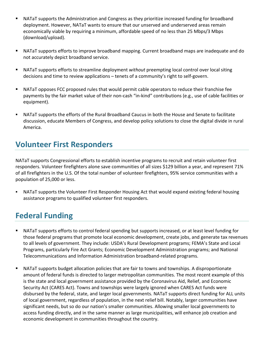- NATaT supports the Administration and Congress as they prioritize increased funding for broadband deployment. However, NATaT wants to ensure that our unserved and underserved areas remain economically viable by requiring a minimum, affordable speed of no less than 25 Mbps/3 Mbps (download/upload).
- NATaT supports efforts to improve broadband mapping. Current broadband maps are inadequate and do not accurately depict broadband service.
- NATaT supports efforts to streamline deployment *without* preempting local control over local siting decisions and time to review applications – tenets of a community's right to self-govern.
- NATaT opposes FCC proposed rules that would permit cable operators to reduce their franchise fee payments by the fair market value of their non-cash "in-kind" contributions (e.g., use of cable facilities or equipment).
- NATaT supports the efforts of the Rural Broadband Caucus in both the House and Senate to facilitate discussion, educate Members of Congress, and develop policy solutions to close the digital divide in rural America.

### **Volunteer First Responders**

NATaT supports Congressional efforts to establish incentive programs to recruit and retain volunteer first responders. Volunteer firefighters alone save communities of all sizes \$129 billion a year, and represent 71% of all firefighters in the U.S. Of the total number of volunteer firefighters, 95% service communities with a population of 25,000 or less.

 NATaT supports the Volunteer First Responder Housing Act that would expand existing federal housing assistance programs to qualified volunteer first responders.

### **Federal Funding**

- NATaT supports efforts to control federal spending but supports increased, or at least level funding for those federal programs that promote local economic development, create jobs, and generate tax revenues to all levels of government. They include: USDA's Rural Development programs; FEMA's State and Local Programs, particularly Fire Act Grants; Economic Development Administration programs; and National Telecommunications and Information Administration broadband-related programs.
- NATaT supports budget allocation policies that are fair to towns and townships. A disproportionate amount of federal funds is directed to larger metropolitan communities. The most recent example of this is the state and local government assistance provided by the Coronavirus Aid, Relief, and Economic Security Act (CARES Act). Towns and townships were largely ignored when CARES Act funds were disbursed by the federal, state, and larger local governments. NATaT supports direct funding for ALL units of local government, regardless of population, in the next relief bill. Notably, larger communities have significant needs, but so do our nation's smaller communities. Allowing smaller local governments to access funding directly, and in the same manner as large municipalities, will enhance job creation and economic development in communities throughout the country.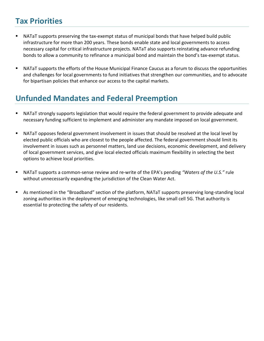### **Tax Priorities**

- NATaT supports preserving the tax-exempt status of municipal bonds that have helped build public infrastructure for more than 200 years. These bonds enable state and local governments to access necessary capital for critical infrastructure projects. NATaT also supports reinstating advance refunding bonds to allow a community to refinance a municipal bond and maintain the bond's tax-exempt status.
- NATaT supports the efforts of the House Municipal Finance Caucus as a forum to discuss the opportunities and challenges for local governments to fund initiatives that strengthen our communities, and to advocate for bipartisan policies that enhance our access to the capital markets.

### **Unfunded Mandates and Federal Preemption**

- NATaT strongly supports legislation that would require the federal government to provide adequate and necessary funding sufficient to implement and administer any mandate imposed on local government.
- NATaT opposes federal government involvement in issues that should be resolved at the local level by elected public officials who are closest to the people affected. The federal government should limit its involvement in issues such as personnel matters, land use decisions, economic development, and delivery of local government services, and give local elected officials maximum flexibility in selecting the best options to achieve local priorities.
- NATaT supports a common-sense review and re-write of the EPA's pending *"Waters of the U.S."* rule without unnecessarily expanding the jurisdiction of the Clean Water Act.
- As mentioned in the "Broadband" section of the platform, NATaT supports preserving long-standing local zoning authorities in the deployment of emerging technologies, like small cell 5G. That authority is essential to protecting the safety of our residents.